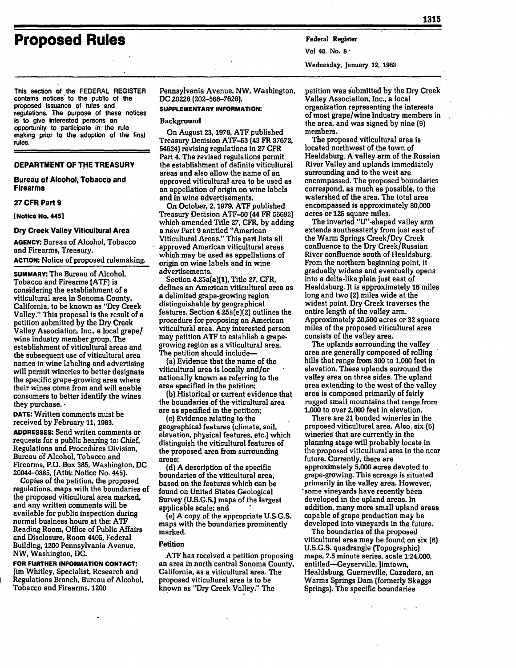# **Proposed Rules Federal Register**

This section of the FEDERAL REGISTER contains notices' to the public of the proposed issuance of rules and regulations. The purpose of these notices is to give interested persons an opportunity to participate in the rule making prior to the adoption of the final rules.

#### **DEPARTMENT OF THE TREASURY**

**Bureau of Alcohol, Tobacco and Firearms**

# **27 CFR Part 9**

**[Notice No. 4451**

#### **Dry Creek Valley Viticultural Area**

**AGENCY: Bureau** of Alcohol, **Tobacco** and Firearms, Treasury. **ACTION:** Notice of proposed rulemaking.

**SUMMARY:** The Bureau of Alcohol, Tobacco and **Firearms (ATF) is** considering the establishment of a viticultural area in Sonoma County, California, to be known as "Dry Creek Valley." This proposal is the result of a petition submitted **by** the Dry Creek Valley Association, Inc., a local grape/ wine industry member group. The establishment of viticultural areas and the subsequent use of viticultural area names in wine labeling and advertising will permit wineries to better designate the specific grape-growing area where their wines come from and will enable consumers to better identify the wines they purchase.-

**DATE:** Written comments must be received **by** February **11, 1983. ADDRESSES:** Send writen comments or requests for a public hearing to: Chief,

Regulations and Procedures Division, Bureau **df** Alcohol, Tobacco and Firearms, P.O. Box **385,** Washington, **DC** 20044-0385, (Attn: Notice No. **445).**

Copies of the petition, the proposed regulations, maps with the boundaries of the proposed viticultural area marked. and any written comments will be available for public inspection during normal business hours at the: **ATF** Reading Room, Office of Public Affairs and Disclosure, Room 4405, Federal Building, 1200 Pennsylvania Avenue, NW, Washington, **DC.**

**FOR FURTHER INFORMATION CONTACT:** Jim Whitley, Specialist, Research and Regulations Branch, Bureau of Alcohol, Tobacco and Firearms, 1200

Pennsylvania Avenue, NW, Washington, **DC 20226 (202-566-7626).**

# **SUPPLEMENTARY INFORMATION:**

#### **Background**

On August **23, 1978,** ATF published Treasury Decision ATF-53 **(43** FR **37672,** 54624) revising regulations in **27** CFR Part **4.** The revised regulations permit the establishment **of** definite viticultural areas and also allow the name of an approved viticultural area to be used as an appellation of origin on wine labels and in wine advertisements.

On October, 2, **1979,** ATF published Treasury Decision ATF-60 (44 FR **56692)** which amended Title **27,** CFR, **by** adding a new Part **9** entitled "American Viticultural Areas." This part lists all approved American viticultural areas which may be used as appellations of origin on wine labels and in wine advertisements.

Section 4.25a(a)11), Title **27,** CFR, defines an American viticultural area as a delimited grape-growing region distinguishable **by** geographical features. Section 4.25a(e)(2) outlines the procedure for proposing an American viticultural area. Any interested person may petition ATF to establish a grapegrowing region as a viticultural area. The petition should include-

(a) Evidence that the name **of** the viticultural area is locally and/or nationally known as referring to the area specified in the petition;

**(b)** Historical or current evidence that the boundaries of the viticultural area are as specified in the petition;

(c) Evidence relating to the geographical features (climate, soil, elevation, physical features, etc.) which distinguish the viticultural features of the proposed area from surrounding areas;

**(d) A** description of the specific boundaries of the viticultural area, based on the features which can be found on United States Geological Survey **(U.S.G.S.)** maps of the largest applicable scale; and

(e] **A** copy of the appropriate **U.S.G.S.** maps with the boundaries prominently marked.

#### Petition

**ATF** has received a petition proposing an area in north central Sonoma County, California, as a viticultural area. The proposed viticultural area is to be known as "Dry Creek Valley." The

Vol 48, No. **8-**

Wednesday, January 12, **1983**

petition was submitted **by** the Dry Creek Valley Association, Inc., a local organization representing the interests of most grape/wine industry members in the area, and was signed **by** nine **(9)** members.

The proposed viticultural area is located northwest of the town of Healdsburg. **A** valley arm of the Russian River Valley and uplands immediately surrounding and to the west are encompassed. The proposed boundaries correspond, as much as possible, to the watershed of the area. The total area encompassed is approximately **80,000** acres or **125** square miles.

The inverted "U"-shaped valley arm extends southeasterly from just east of the Warm Springs Creek/Dry Creek confluence to the Dry Creek/Russian River confluence south of Healdsburg. From the northern beginning point, it gradually widens and eventually opens into a delta-like plain just east of Healdsburg. It is approximately 16 miles long and two (2) miles wide at the widest point. Dry Creek traverses the entire length of the valley arm. Approximately **20,500** acres or **32** square miles of the proposed viticultural area consists of the valley area.

The uplands surrounding the valley area are generally composed of rolling hills that range from **300** to **1,000** feet in elevation. These uplands surround the valley area on three sides. The upland area extending to the west of the valley area is composed primarily of fairly rugged small mountains that range from **1,000** to over 2,000 feet in elevation.

There are **21** bonded wineries in the proposed viticultural area. Also, six **(6)** wineries that are currently in the planning stage will probably locate in the proposed viticultural area in the near future. Currently, there are approximately **5,000** acres devoted to grape-growing. This acreage is situated primarily in the valley area. However, some vineyards have recently been developed in the upland areas. In addition, many more small upland areas capable of grape production may be developed into vineyards in the future.

The boundaries of the proposed viticultural area may be found on six **(6) U.S.G.S.** quadrangle (Topographic) maps, **7.5** minute series, scale **1:24,000,** entitled--Geyserville, Jimtown, Healdsburg, Guerneville, Cazadero, an Warms Springs Dam (formerly Skaggs Springs). The specific boundaries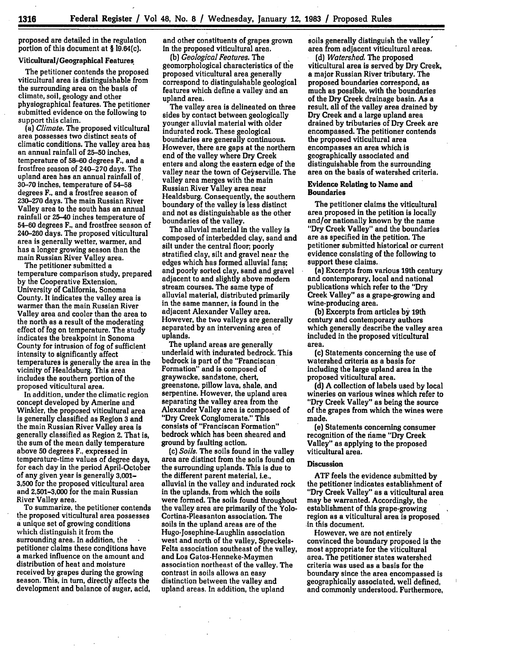proposed are detailed in the regulation portion of this document at **§** 19.64(c).

# Viticultural/Geographical Features.

The petitioner contends the proposed viticultural area is distinguishable from the surrounding area on the basis of climate, soil, geology and other physiographical features. The petitioner submitted evidence on the following to support this claim.

(a) *Climate.* The proposed viticultural area possesses two distinct seats of climatic conditions. The valley area has an annual rainfall of **25-50** inches, temperature of **58-60** degrees F., and a frostfree season of 240-270 days. The upland area has an annual rainfall of. **30-70** inches, temperature of **54-58** degrees F., and a frostfree season of **230-270** days. The main Russian River Valley area to the south has an annual rainfall or 25-40 inches temperature of 54-60 degrees F., and frostfree season of 240-260 days. The proposed viticultural area is generally wetter, warmer, and has a longer growing season than the main Russian River Valley area.

The petitioner submitted a temperature comparison study, prepared **by** the Cooperative Extension, University **of** California, Sonoma County. It indicates the valley area is warmer than the main Russian River Valley area and cooler than the area to the north as a result of the moderating effect of fog on temperature. The study indicates the breakpoint in Sonoma County for intrusion of fog of sufficient intensity to significantly affect temperatures is generally the area in the vicinity of Healdsburg. This area includes the southern portion of the proposed viticultural area.

In addition, under the climatic region concept developed **by** Amerine and Winkler, the proposed viticultural area is generally classified as Region **3** and the main Russian River Valley area is generally classified as Region 2. That **is,** the sum of the mean daily temperature above **50** degrees F., expressed in for each day in the period April-October of any given year is generally **3,001- 3,500** for the proposed viticultural area and **2,501-3,000** for the main Russian River Valley area.

To summarize, the petitioner contends the proposed viticultural area possesses a unique set of growing conditions which distinguish it from the surrounding area. In addition, the petitioner claims these conditions have a marked influence on the amount and distribution of heat and moisture received **by** grapes during the growing season. This, in turn, directly affects the development and balance of sugar, acid,

 $\sim 10^{-1}$ 

 $\mathcal{L}$ 

and other constituents of grapes grown in the proposed viticultural area.

**(b)** *Geological Features. The* geomorphological characteristics of the proposed viticultural area generally correspond to distinguishable geological features which define a valley and an upland area.

The valley area is delineated on three sides **by** contact between geologically younger alluvial material with older indurated rock. These geological boundaries are generally continuous. However, there are gaps at the northern end of the valley where Dry Creek enters and along the eastern edge of the valley near the town of Geyserville. The valley area merges with the main Russian River Valley area near Healdsburg. Consequently, the southern boundary of the valley is less distinct and not as distinguishable as the other boundaries of the valley.

The alluvial material in the valley is composed of interbedded clay, sand and silt under the central floor; poorly stratified clay, silt and gravel near the edges which has formed alluvial fans; and poorly sorted clay, sand and gravel adjacent to and slightly above modem stream courses. The same type of alluvial material, distributed primarily in the same manner, is found in the adjacent Alexander Valley area. However, the two valleys are generally separated **by** an intervening area of uplands.

The upland areas are generally underlaid with indurated bedrock. This bedrock is part of the "Franciscan Formation" and is composed of graywacke, sandstone, chert, greenstone, pillow lava, shale, and serpentine. However, the upland area separating the valley area from the Alexander Valley area is composed of "Dry Creek Conglomerate." This consists of "Franciscan Formation" bedrock which has been sheared and ground **by** faulting action.

(c) *Soils.* The soils found in the valley area are distinct from the soils found on the surrounding uplands. This is due to the different parent material, i.e., alluvial in the valley and indurated rock in the uplands, from which the soils were formed. The soils found throughout the valley area are primarily of the Yolo-Cortina-Pleasanton association. The soils in the upland areas are of the Hugo-Josephine-Laughlin association west and north of the valley, Spreckels-Felta association southeast of the valley, and Los Gatos-Henneke-Maymen association northeast of the valley. The contrast in soils allows an easy distinction between the valley and upland areas. In addition, the upland

soils generally distinguish the valley' area from adjacent viticultural areas.

*(d) Watershed.* The proposed viticultural area is served **by** Dry Creek, a major Russian River tributary. The proposed boundaries correspond, as much as possible, with the boundaries of the Dry Creek drainage basin. As a result, all of the valley area drained **by** Dry Creek and a large upland area drained **by** tributaries of Dry Creek are encompassed. The petitioner contends the proposed viticultural area encompasses an area which is geographically associated and distinguishable from the surrounding area on the basis of watershed criteria.

#### Evidence Relating to Name and **Boundaries**

The petitioner claims the viticultural area proposed in the petition is locally and/or nationally known **by** the name "Dry Creek Valley" and the boundaries are as specified in the petition. The petitioner submitted historical or current evidence consisting of the following to support these claims.

(a) Excerpts from various 19th century and contemporary, local and national publications which refer to the "Dry Creek Valley" as a grape-growing and wine-producing area.

**(b)** Excerpts from articles **by** 19th century and contemporary authors which generally describe the valley area included in the proposed viticultural area.

(c) Statements concerning the use of watershed criteria as a basis for including the large upland area in the proposed viticultural area.

**(d) A** collection of labels used **by** local wineries on various wines which refer to "Dry Creek Valley" as being the source of the grapes from which the wines were made.

(e) Statements concerning consumer recognition of the name "Dry Creek Valley" as applying to the proposed viticultural area.

#### **Discussion**

**ATF** feels the evidence submitted **by** the petitioner indicates establishment of "Dry Creek Valley" as a viticultural area may be warranted. Accordingly, the establishment of this grape-growing region as a viticultural area is proposed in this document.

However, we are not entirely convinced the boundary proposed is the most appropriate for the viticultural area. The petitioner states watershed criteria was used as a basis for the boundary since the area encompassed is geographically associated, well defined, and commonly understood. Furthermore,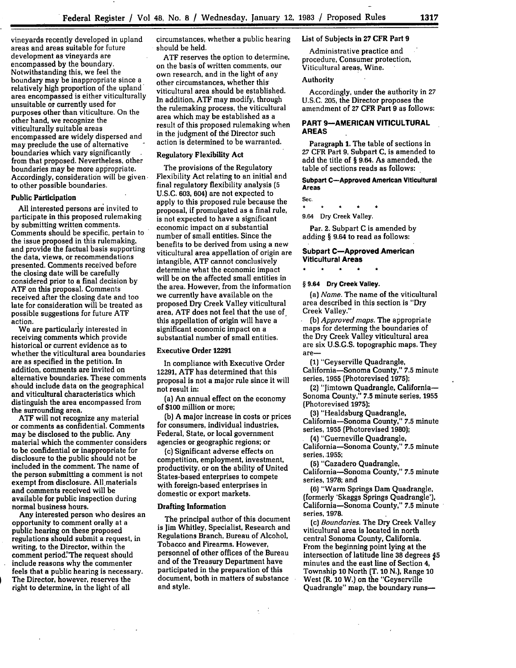vineyards recently developed in upland areas and areas suitable for future development as vineyards are encompassed **by** the boundary. Notwithstanding this, we feel the boundary may be inappropriate since a relatively high proportion of the upland' area encompassed is either viticulturally unsuitable or currently used for purposes other than viticulture. On the other hand, we recognize the viticulturally suitable areas encompassed are widely dispersed and may preclude the use of alternative boundaries which vary significantly from that proposed. Nevertheless, other boundaries may be more appropriate. Accordingly, consideration will be givento other possible boundaries.

#### **Public Participation**

**All** interested persons are invited to participate in this proposed rulemaking **by** submitting written comments. Comments should be specific, pertain to the issue proposed in this rulemaking, and provide the factual basis supporting the data, views, or recommendations presented. Comments received before the closing date will be carefully considered prior to a final decision **by ATF** on this proposal. Comments received after the closing date and too late for consideration will be treated as possible suggestions for future **ATF** action.

We are particularly interested in receiving comments which provide historical or current evidence as to whether the viticultural area boundaries are as specified in the petition. In addition, comments are invited on alternative boundaries. These comments should include data on the geographical and viticultural characteristics which distinguish the area encompassed from the surrounding area.

**ATF** will not recognize any material or comments as confidential. Comments may be disclosed to the public. Any material which the commenter considers to be confidential or inappropriate for disclosure to the public should not be included in the comment. The name of the person submitting a comment is not exempt from disclosure. All.materials and comments received will be available for public inspection during normal business hours.

Any interested person who desires an opportunity to comment orally at a public hearing on these proposed regulations should submit a request, in writing, to the Director, within the comment period. The request should include reasons why the commenter feels that a public hearing is necessary. The Director, however, reserves the right to determine, in the light of all

circumstances, whether a public hearing should be held.

ATF reserves the option to determine, on the basis of written comments, our own research, and in the light of any other circumstances, whether thisviticultural area should be established. In addition, ATF may modify, through the rulemaking process, the viticultural area which may be established as a result of this proposed rulemaking when in the judgment of **the** Director such action is determined to be warranted.

# Regulatory Flexibility Act

The provisions of the Regulatory Flexibility Act relating to an initial and final regulatory flexibility analysis **(5 U.S.C. 603,** 604) are not expected to apply to this proposed rule because the proposal, if promulgated as a final rule, is not expected to have a significant economic impact on a substantial number of small entities. Since the benefits to be derived from using a new viticultural area appellation of origin are intangible, **ATF** cannot conclusively determine what the economic impact will be on the affected small entities in the area. However, from the information we currently have available on the proposed Dry Creek Valley viticultural area, **ATF** does not feel that the use of, this appellation of origin will have a significant economic impact on a substantial number of small entities.

#### Executive Order **12291**

In compliance with Executive Order **12291, ATF** has determined that this proposal is not a major rule since it will not result in:

(a) An annual effect on the economy of **\$100** million or more;

**(b)** A major increase in costs or prices for consumers, individual industries, Federal, State, or local government agencies or geographic regions; or

(c) Significant adverse effects on competition, employment, investment, productivity, or on the ability of United States-based enterprises to compete with foreign-based enterprises in domestic or export markets.

# **Drafting Information**

The principal author of this document is Jim Whitley, Specialist, Research and Regulations Branch, Bureau of Alcohol, Tobacco and Firearms. However, personnel of other offices of the Bureau and of the Treasury Department have participated in the preparation of this document, both in matters of substance and style.

÷

# List of Subjects in **27** CFR Part **9**

Administrative practice and procedure, Consumer protection, Viticultural areas, Wine.

#### Authority

Accordingly, under the authority in **27 U.S.C. 205,** the Director proposes the amendment of **27 CFR Part 9** as follows:

#### **PART 9-AMERICAN VITICULTURAL AREAS**

**Paragraph 1.** The table of sections in **27** CFR **Part** 9, Subpart **C,** is amended to add the title of § 9.64. As amended, the table of sections reads as follows:

#### **Subpart C-Approved American Viticultural Areas**

Sec.  $\bullet$ 9.64 Dry Creek Valley.

Par. **2.** Subpart **C** is amended **by** adding § 9.64 to read as follows:

#### **Subpart C-Approved American Viticultural Areas**

 $\star$ 

#### **§ 9.64 Dry Creek Valley.**

*(a) Name.* The name of the viticultural area described in this section is "Dry Creek Valley."

*(b) Approved maps.* The appropriate maps for determing the boundaries of the Dry Creek Valley viticultural area are six **U.S.G.S.** topographic maps. They are-

**(1)** "Geyserville Quadrangle, California-Sonoma County," **7.5** minute series, 1955 (Photorevised **1975);**

(2) "Jimtown Quadrangle, California-Sonoma County," **7.5** minute series, 1955 (Photorevised **1975);**

**(3)** "Healdsburg Quadrangle,

California-Sonoma County," **7.5** minute series, **1955** (Photorevised **1980);**

(4) "Guerneville Quadrangle,

California-Sonoma County," **7.5** minute series, 1955;

**(5)** "Cazadero Quadrangle,

California-Sonoma County," **7.5** minute series, **1978;** and

**(6)** "Warm Springs Dam Quadrangle, (formerly 'Skaggs Springs Quadrangle'), California-Sonoma County," **7.5** minute series, **1978.**

*(c) Boundaries.* The Dry Creek Valley viticultural area is located in north central Sonoma County, California. From the beginning point lying at the intersection of latitude line **38** degrees **J5** minutes and the east line of Section **4,** Township **10** North (T. **10** N.), Range **10** West (R. **10** W.) on the "Geyserville Quadrangle" map, the boundary runs-